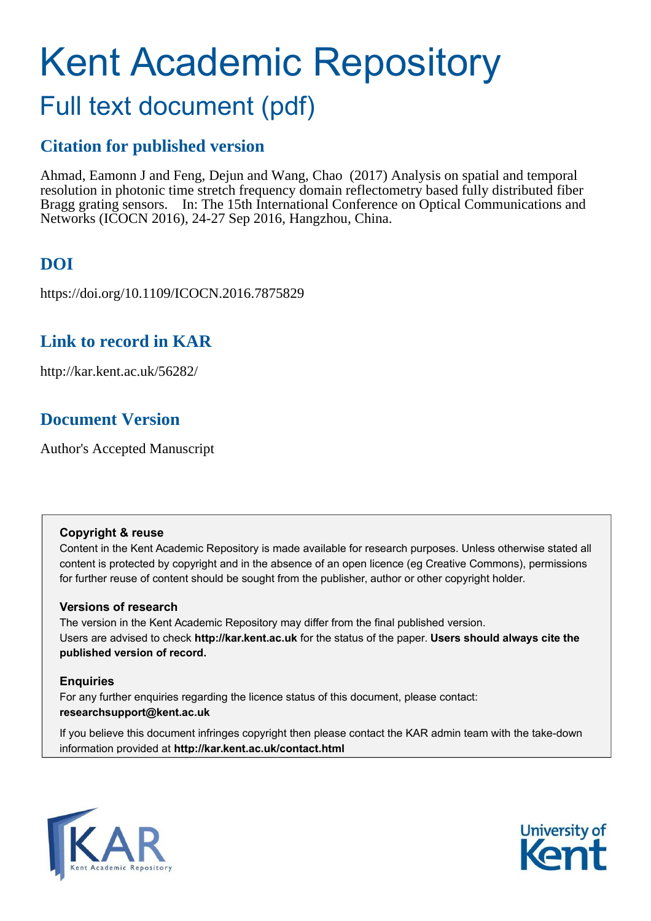# Kent Academic Repository

# Full text document (pdf)

# **Citation for published version**

Ahmad, Eamonn J and Feng, Dejun and Wang, Chao (2017) Analysis on spatial and temporal resolution in photonic time stretch frequency domain reflectometry based fully distributed fiber Bragg grating sensors. In: The 15th International Conference on Optical Communications and Networks (ICOCN 2016), 24-27 Sep 2016, Hangzhou, China.

# **DOI**

https://doi.org/10.1109/ICOCN.2016.7875829

# **Link to record in KAR**

http://kar.kent.ac.uk/56282/

# **Document Version**

Author's Accepted Manuscript

## **Copyright & reuse**

Content in the Kent Academic Repository is made available for research purposes. Unless otherwise stated all content is protected by copyright and in the absence of an open licence (eg Creative Commons), permissions for further reuse of content should be sought from the publisher, author or other copyright holder.

## **Versions of research**

The version in the Kent Academic Repository may differ from the final published version. Users are advised to check **http://kar.kent.ac.uk** for the status of the paper. **Users should always cite the published version of record.**

## **Enquiries**

For any further enquiries regarding the licence status of this document, please contact: **researchsupport@kent.ac.uk**

If you believe this document infringes copyright then please contact the KAR admin team with the take-down information provided at **http://kar.kent.ac.uk/contact.html**



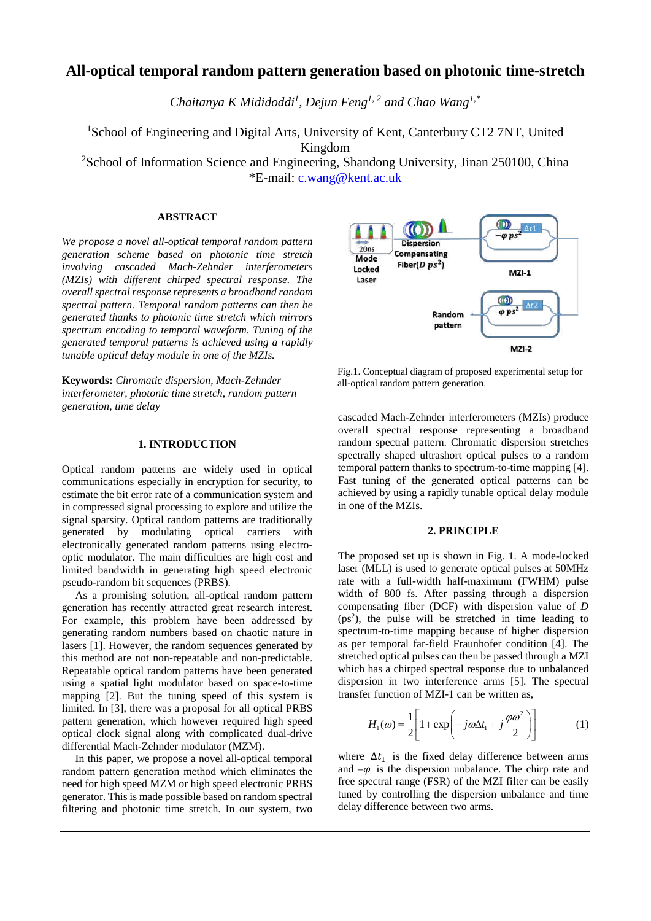## **All-optical temporal random pattern generation based on photonic time-stretch**

*Chaitanya K Mididoddi<sup>1</sup> , Dejun Feng1, 2 and Chao Wang1,\**

<sup>1</sup>School of Engineering and Digital Arts, University of Kent, Canterbury CT2 7NT, United Kingdom

<sup>2</sup>School of Information Science and Engineering, Shandong University, Jinan 250100, China \*E-mail: [c.wang@kent.ac.uk](mailto:c.wang@kent.ac.uk)

#### **ABSTRACT**

*We propose a novel all-optical temporal random pattern generation scheme based on photonic time stretch involving cascaded Mach-Zehnder interferometers (MZIs) with different chirped spectral response. The overall spectral response represents a broadband random spectral pattern. Temporal random patterns can then be generated thanks to photonic time stretch which mirrors spectrum encoding to temporal waveform. Tuning of the generated temporal patterns is achieved using a rapidly tunable optical delay module in one of the MZIs.* 

**Keywords:** *Chromatic dispersion, Mach-Zehnder interferometer, photonic time stretch, random pattern generation, time delay*

#### **1. INTRODUCTION**

Optical random patterns are widely used in optical communications especially in encryption for security, to estimate the bit error rate of a communication system and in compressed signal processing to explore and utilize the signal sparsity. Optical random patterns are traditionally generated by modulating optical carriers with electronically generated random patterns using electrooptic modulator. The main difficulties are high cost and limited bandwidth in generating high speed electronic pseudo-random bit sequences (PRBS).

As a promising solution, all-optical random pattern generation has recently attracted great research interest. For example, this problem have been addressed by generating random numbers based on chaotic nature in lasers [1]. However, the random sequences generated by this method are not non-repeatable and non-predictable. Repeatable optical random patterns have been generated using a spatial light modulator based on space-to-time mapping [2]. But the tuning speed of this system is limited. In [3], there was a proposal for all optical PRBS pattern generation, which however required high speed optical clock signal along with complicated dual-drive differential Mach-Zehnder modulator (MZM).

In this paper, we propose a novel all-optical temporal random pattern generation method which eliminates the need for high speed MZM or high speed electronic PRBS generator. This is made possible based on random spectral filtering and photonic time stretch. In our system, two



Fig.1. Conceptual diagram of proposed experimental setup for all-optical random pattern generation.

cascaded Mach-Zehnder interferometers (MZIs) produce overall spectral response representing a broadband random spectral pattern. Chromatic dispersion stretches spectrally shaped ultrashort optical pulses to a random temporal pattern thanks to spectrum-to-time mapping [4]. Fast tuning of the generated optical patterns can be achieved by using a rapidly tunable optical delay module in one of the MZIs.

## **2. PRINCIPLE**

The proposed set up is shown in Fig. 1. A mode-locked laser (MLL) is used to generate optical pulses at 50MHz rate with a full-width half-maximum (FWHM) pulse width of 800 fs. After passing through a dispersion compensating fiber (DCF) with dispersion value of *D* (ps<sup>2</sup>), the pulse will be stretched in time leading to spectrum-to-time mapping because of higher dispersion as per temporal far-field Fraunhofer condition [4]. The stretched optical pulses can then be passed through a MZI which has a chirped spectral response due to unbalanced dispersion in two interference arms [5]. The spectral transfer function of MZI-1 can be written as,

$$
H_1(\omega) = \frac{1}{2} \left[ 1 + \exp\left( -j\omega \Delta t_1 + j\frac{\varphi \omega^2}{2} \right) \right] \tag{1}
$$

where  $\Delta t_1$  is the fixed delay difference between arms and  $-\varphi$  is the dispersion unbalance. The chirp rate and free spectral range (FSR) of the MZI filter can be easily tuned by controlling the dispersion unbalance and time delay difference between two arms.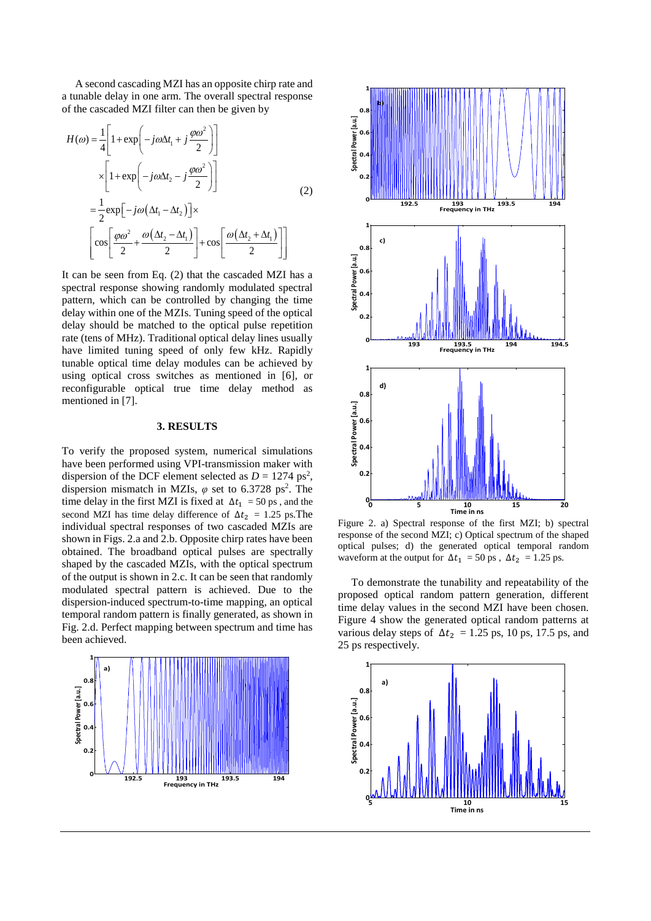A second cascading MZI has an opposite chirp rate and a tunable delay in one arm. The overall spectral response of the cascaded MZI filter can then be given by

$$
H(\omega) = \frac{1}{4} \left[ 1 + \exp\left( -j\omega \Delta t_1 + j\frac{\varphi \omega^2}{2} \right) \right]
$$
  
\n
$$
\times \left[ 1 + \exp\left( -j\omega \Delta t_2 - j\frac{\varphi \omega^2}{2} \right) \right]
$$
  
\n
$$
= \frac{1}{2} \exp\left[ -j\omega \left( \Delta t_1 - \Delta t_2 \right) \right] \times
$$
  
\n
$$
\left[ \cos\left[ \frac{\varphi \omega^2}{2} + \frac{\omega \left( \Delta t_2 - \Delta t_1 \right)}{2} \right] + \cos\left[ \frac{\omega \left( \Delta t_2 + \Delta t_1 \right)}{2} \right] \right]
$$
 (2)

It can be seen from Eq. (2) that the cascaded MZI has a spectral response showing randomly modulated spectral pattern, which can be controlled by changing the time delay within one of the MZIs. Tuning speed of the optical delay should be matched to the optical pulse repetition rate (tens of MHz). Traditional optical delay lines usually have limited tuning speed of only few kHz. Rapidly tunable optical time delay modules can be achieved by using optical cross switches as mentioned in [6], or reconfigurable optical true time delay method as mentioned in [7].

### **3. RESULTS**

To verify the proposed system, numerical simulations have been performed using VPI-transmission maker with dispersion of the DCF element selected as  $D = 1274 \text{ ps}^2$ , dispersion mismatch in MZIs,  $\varphi$  set to 6.3728 ps<sup>2</sup>. The time delay in the first MZI is fixed at  $\Delta t_1 = 50 \text{ ps}$ , and the second MZI has time delay difference of  $\Delta t_2 = 1.25$  ps. The individual spectral responses of two cascaded MZIs are shown in Figs. 2.a and 2.b. Opposite chirp rates have been obtained. The broadband optical pulses are spectrally shaped by the cascaded MZIs, with the optical spectrum of the output is shown in 2.c. It can be seen that randomly modulated spectral pattern is achieved. Due to the dispersion-induced spectrum-to-time mapping, an optical temporal random pattern is finally generated, as shown in Fig. 2.d. Perfect mapping between spectrum and time has been achieved.





Figure 2. a) Spectral response of the first MZI; b) spectral response of the second MZI; c) Optical spectrum of the shaped optical pulses; d) the generated optical temporal random waveform at the output for  $\Delta t_1 = 50$  ps,  $\Delta t_2 = 1.25$  ps.

To demonstrate the tunability and repeatability of the proposed optical random pattern generation, different time delay values in the second MZI have been chosen. Figure 4 show the generated optical random patterns at various delay steps of  $\Delta t_2 = 1.25$  ps, 10 ps, 17.5 ps, and 25 ps respectively.